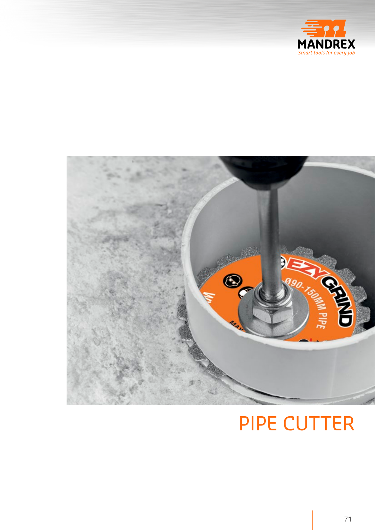



## **PIPE CUTTER**